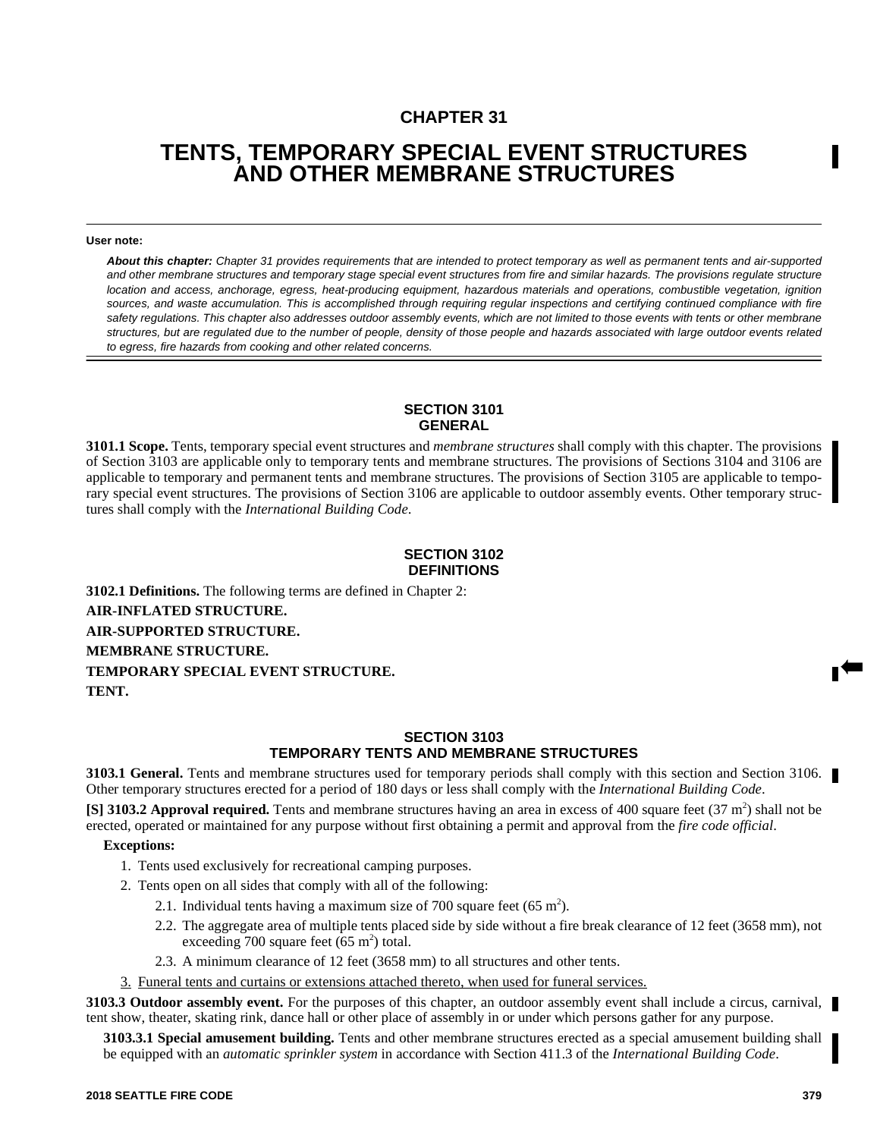## **CHAPTER 31**

# **TENTS, TEMPORARY SPECIAL EVENT STRUCTURES AND OTHER MEMBRANE STRUCTURES**

#### **User note:**

*About this chapter: Chapter 31 provides requirements that are intended to protect temporary as well as permanent tents and air-supported and other membrane structures and temporary stage special event structures from fire and similar hazards. The provisions regulate structure location and access, anchorage, egress, heat-producing equipment, hazardous materials and operations, combustible vegetation, ignition sources, and waste accumulation. This is accomplished through requiring regular inspections and certifying continued compliance with fire safety regulations. This chapter also addresses outdoor assembly events, which are not limited to those events with tents or other membrane structures, but are regulated due to the number of people, density of those people and hazards associated with large outdoor events related to egress, fire hazards from cooking and other related concerns.*

#### **SECTION 3101 GENERAL**

**3101.1 Scope.** Tents, temporary special event structures and *membrane structures* shall comply with this chapter. The provisions of Section 3103 are applicable only to temporary tents and membrane structures. The provisions of Sections 3104 and 3106 are applicable to temporary and permanent tents and membrane structures. The provisions of Section 3105 are applicable to temporary special event structures. The provisions of Section 3106 are applicable to outdoor assembly events. Other temporary structures shall comply with the *International Building Code*.

#### **SECTION 3102 DEFINITIONS**

**3102.1 Definitions.** The following terms are defined in Chapter 2: **AIR-INFLATED STRUCTURE. AIR-SUPPORTED STRUCTURE. MEMBRANE STRUCTURE. TEMPORARY SPECIAL EVENT STRUCTURE. TENT.**

#### **SECTION 3103 TEMPORARY TENTS AND MEMBRANE STRUCTURES**

**3103.1 General.** Tents and membrane structures used for temporary periods shall comply with this section and Section 3106. Other temporary structures erected for a period of 180 days or less shall comply with the *International Building Code*.

[S] 3103.2 Approval required. Tents and membrane structures having an area in excess of 400 square feet (37 m<sup>2</sup>) shall not be erected, operated or maintained for any purpose without first obtaining a permit and approval from the *fire code official*.

#### **Exceptions:**

- 1. Tents used exclusively for recreational camping purposes.
- 2. Tents open on all sides that comply with all of the following:
	- 2.1. Individual tents having a maximum size of 700 square feet (65 m<sup>2</sup>).
	- 2.2. The aggregate area of multiple tents placed side by side without a fire break clearance of 12 feet (3658 mm), not exceeding 700 square feet  $(65 \text{ m}^2)$  total.
	- 2.3. A minimum clearance of 12 feet (3658 mm) to all structures and other tents.

3. Funeral tents and curtains or extensions attached thereto, when used for funeral services.

**3103.3 Outdoor assembly event.** For the purposes of this chapter, an outdoor assembly event shall include a circus, carnival, tent show, theater, skating rink, dance hall or other place of assembly in or under which persons gather for any purpose.

**3103.3.1 Special amusement building.** Tents and other membrane structures erected as a special amusement building shall be equipped with an *automatic sprinkler system* in accordance with Section 411.3 of the *International Building Code*.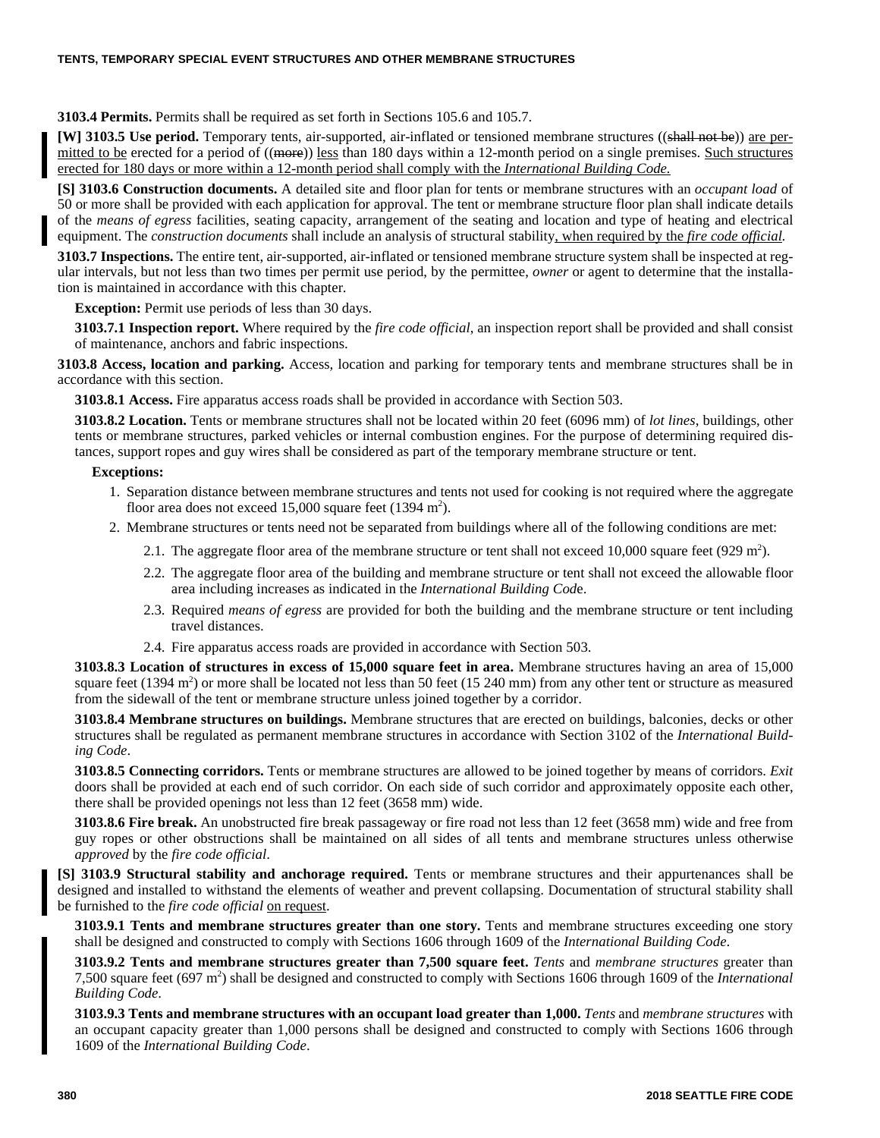**3103.4 Permits.** Permits shall be required as set forth in Sections 105.6 and 105.7.

**[W] 3103.5 Use period.** Temporary tents, air-supported, air-inflated or tensioned membrane structures ((shall not be)) are permitted to be erected for a period of ((more)) less than 180 days within a 12-month period on a single premises. Such structures erected for 180 days or more within a 12-month period shall comply with the *International Building Code.*

**[S] 3103.6 Construction documents.** A detailed site and floor plan for tents or membrane structures with an *occupant load* of 50 or more shall be provided with each application for approval. The tent or membrane structure floor plan shall indicate details of the *means of egress* facilities, seating capacity, arrangement of the seating and location and type of heating and electrical equipment. The *construction documents* shall include an analysis of structural stability, when required by the *fire code official.*

**3103.7 Inspections.** The entire tent, air-supported, air-inflated or tensioned membrane structure system shall be inspected at regular intervals, but not less than two times per permit use period, by the permittee, *owner* or agent to determine that the installation is maintained in accordance with this chapter.

**Exception:** Permit use periods of less than 30 days.

**3103.7.1 Inspection report.** Where required by the *fire code official*, an inspection report shall be provided and shall consist of maintenance, anchors and fabric inspections.

**3103.8 Access, location and parking.** Access, location and parking for temporary tents and membrane structures shall be in accordance with this section.

**3103.8.1 Access.** Fire apparatus access roads shall be provided in accordance with Section 503.

**3103.8.2 Location.** Tents or membrane structures shall not be located within 20 feet (6096 mm) of *lot lines*, buildings, other tents or membrane structures, parked vehicles or internal combustion engines. For the purpose of determining required distances, support ropes and guy wires shall be considered as part of the temporary membrane structure or tent.

#### **Exceptions:**

- 1. Separation distance between membrane structures and tents not used for cooking is not required where the aggregate floor area does not exceed  $15,000$  square feet (1394 m<sup>2</sup>).
- 2. Membrane structures or tents need not be separated from buildings where all of the following conditions are met:
	- 2.1. The aggregate floor area of the membrane structure or tent shall not exceed 10,000 square feet (929 m<sup>2</sup>).
	- 2.2. The aggregate floor area of the building and membrane structure or tent shall not exceed the allowable floor area including increases as indicated in the *International Building Cod*e.
	- 2.3. Required *means of egress* are provided for both the building and the membrane structure or tent including travel distances.
	- 2.4. Fire apparatus access roads are provided in accordance with Section 503.

**3103.8.3 Location of structures in excess of 15,000 square feet in area.** Membrane structures having an area of 15,000 square feet (1394 m<sup>2</sup>) or more shall be located not less than 50 feet (15 240 mm) from any other tent or structure as measured from the sidewall of the tent or membrane structure unless joined together by a corridor.

**3103.8.4 Membrane structures on buildings.** Membrane structures that are erected on buildings, balconies, decks or other structures shall be regulated as permanent membrane structures in accordance with Section 3102 of the *International Building Code*.

**3103.8.5 Connecting corridors.** Tents or membrane structures are allowed to be joined together by means of corridors. *Exit* doors shall be provided at each end of such corridor. On each side of such corridor and approximately opposite each other, there shall be provided openings not less than 12 feet (3658 mm) wide.

**3103.8.6 Fire break.** An unobstructed fire break passageway or fire road not less than 12 feet (3658 mm) wide and free from guy ropes or other obstructions shall be maintained on all sides of all tents and membrane structures unless otherwise *approved* by the *fire code official*.

**[S] 3103.9 Structural stability and anchorage required.** Tents or membrane structures and their appurtenances shall be designed and installed to withstand the elements of weather and prevent collapsing. Documentation of structural stability shall be furnished to the *fire code official* on request.

**3103.9.1 Tents and membrane structures greater than one story.** Tents and membrane structures exceeding one story shall be designed and constructed to comply with Sections 1606 through 1609 of the *International Building Code*.

**3103.9.2 Tents and membrane structures greater than 7,500 square feet.** *Tents* and *membrane structures* greater than 7,500 square feet (697 m<sup>2</sup> ) shall be designed and constructed to comply with Sections 1606 through 1609 of the *International Building Code*.

**3103.9.3 Tents and membrane structures with an occupant load greater than 1,000.** *Tents* and *membrane structures* with an occupant capacity greater than 1,000 persons shall be designed and constructed to comply with Sections 1606 through 1609 of the *International Building Code*.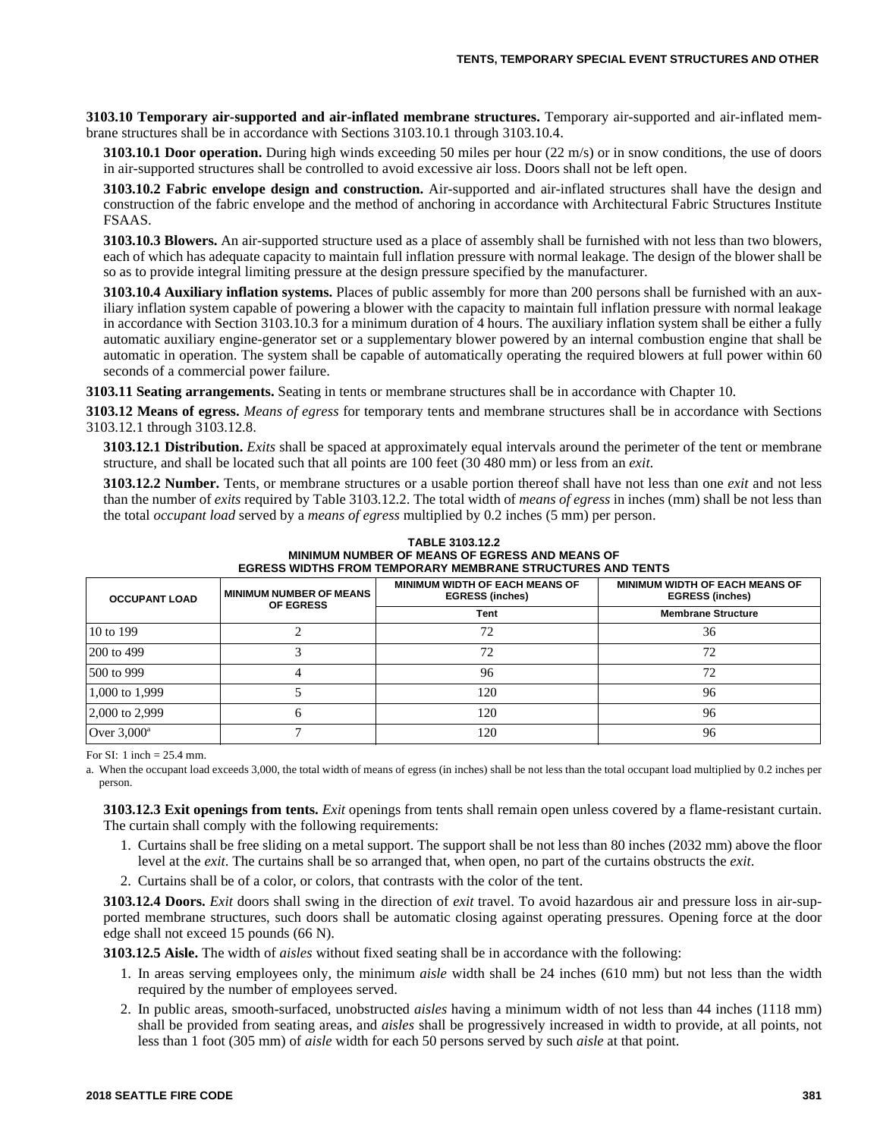**3103.10 Temporary air-supported and air-inflated membrane structures.** Temporary air-supported and air-inflated membrane structures shall be in accordance with Sections 3103.10.1 through 3103.10.4.

**3103.10.1 Door operation.** During high winds exceeding 50 miles per hour (22 m/s) or in snow conditions, the use of doors in air-supported structures shall be controlled to avoid excessive air loss. Doors shall not be left open.

**3103.10.2 Fabric envelope design and construction.** Air-supported and air-inflated structures shall have the design and construction of the fabric envelope and the method of anchoring in accordance with Architectural Fabric Structures Institute FSAAS.

**3103.10.3 Blowers.** An air-supported structure used as a place of assembly shall be furnished with not less than two blowers, each of which has adequate capacity to maintain full inflation pressure with normal leakage. The design of the blower shall be so as to provide integral limiting pressure at the design pressure specified by the manufacturer.

**3103.10.4 Auxiliary inflation systems.** Places of public assembly for more than 200 persons shall be furnished with an auxiliary inflation system capable of powering a blower with the capacity to maintain full inflation pressure with normal leakage in accordance with Section 3103.10.3 for a minimum duration of 4 hours. The auxiliary inflation system shall be either a fully automatic auxiliary engine-generator set or a supplementary blower powered by an internal combustion engine that shall be automatic in operation. The system shall be capable of automatically operating the required blowers at full power within 60 seconds of a commercial power failure.

**3103.11 Seating arrangements.** Seating in tents or membrane structures shall be in accordance with Chapter 10.

**3103.12 Means of egress.** *Means of egress* for temporary tents and membrane structures shall be in accordance with Sections 3103.12.1 through 3103.12.8.

**3103.12.1 Distribution.** *Exits* shall be spaced at approximately equal intervals around the perimeter of the tent or membrane structure, and shall be located such that all points are 100 feet (30 480 mm) or less from an *exit*.

**3103.12.2 Number.** Tents, or membrane structures or a usable portion thereof shall have not less than one *exit* and not less than the number of *exits* required by Table 3103.12.2. The total width of *means of egress* in inches (mm) shall be not less than the total *occupant load* served by a *means of egress* multiplied by 0.2 inches (5 mm) per person.

| CURCSS WIDTHS FROM TEMPORART MEMBRANE STRUCTURES AND TENTS |                                                    |                                                                 |                                                                 |
|------------------------------------------------------------|----------------------------------------------------|-----------------------------------------------------------------|-----------------------------------------------------------------|
| <b>OCCUPANT LOAD</b>                                       | <b>MINIMUM NUMBER OF MEANS</b><br><b>OF EGRESS</b> | <b>MINIMUM WIDTH OF EACH MEANS OF</b><br><b>EGRESS (inches)</b> | <b>MINIMUM WIDTH OF EACH MEANS OF</b><br><b>EGRESS (inches)</b> |
|                                                            |                                                    | Tent                                                            | <b>Membrane Structure</b>                                       |
| 10 to 199                                                  |                                                    | 72                                                              | 36                                                              |
| 200 to 499                                                 |                                                    | 72                                                              | 72                                                              |
| 500 to 999                                                 |                                                    | 96                                                              | 72                                                              |
| 1,000 to 1,999                                             |                                                    | 120                                                             | 96                                                              |
| 2,000 to 2,999                                             |                                                    | 120                                                             | 96                                                              |
| Over $3,000^a$                                             |                                                    | 120                                                             | 96                                                              |

**TABLE 3103.12.2 MINIMUM NUMBER OF MEANS OF EGRESS AND MEANS OF EGRESS WIDTHS FROM TEMPORARY MEMBRANE STRUCTURES AND TENTS**

For SI: 1 inch  $= 25.4$  mm.

a. When the occupant load exceeds 3,000, the total width of means of egress (in inches) shall be not less than the total occupant load multiplied by 0.2 inches per person.

**3103.12.3 Exit openings from tents.** *Exit* openings from tents shall remain open unless covered by a flame-resistant curtain. The curtain shall comply with the following requirements:

- 1. Curtains shall be free sliding on a metal support. The support shall be not less than 80 inches (2032 mm) above the floor level at the *exit*. The curtains shall be so arranged that, when open, no part of the curtains obstructs the *exit*.
- 2. Curtains shall be of a color, or colors, that contrasts with the color of the tent.

**3103.12.4 Doors.** *Exit* doors shall swing in the direction of *exit* travel. To avoid hazardous air and pressure loss in air-supported membrane structures, such doors shall be automatic closing against operating pressures. Opening force at the door edge shall not exceed 15 pounds (66 N).

**3103.12.5 Aisle.** The width of *aisles* without fixed seating shall be in accordance with the following:

- 1. In areas serving employees only, the minimum *aisle* width shall be 24 inches (610 mm) but not less than the width required by the number of employees served.
- 2. In public areas, smooth-surfaced, unobstructed *aisles* having a minimum width of not less than 44 inches (1118 mm) shall be provided from seating areas, and *aisles* shall be progressively increased in width to provide, at all points, not less than 1 foot (305 mm) of *aisle* width for each 50 persons served by such *aisle* at that point.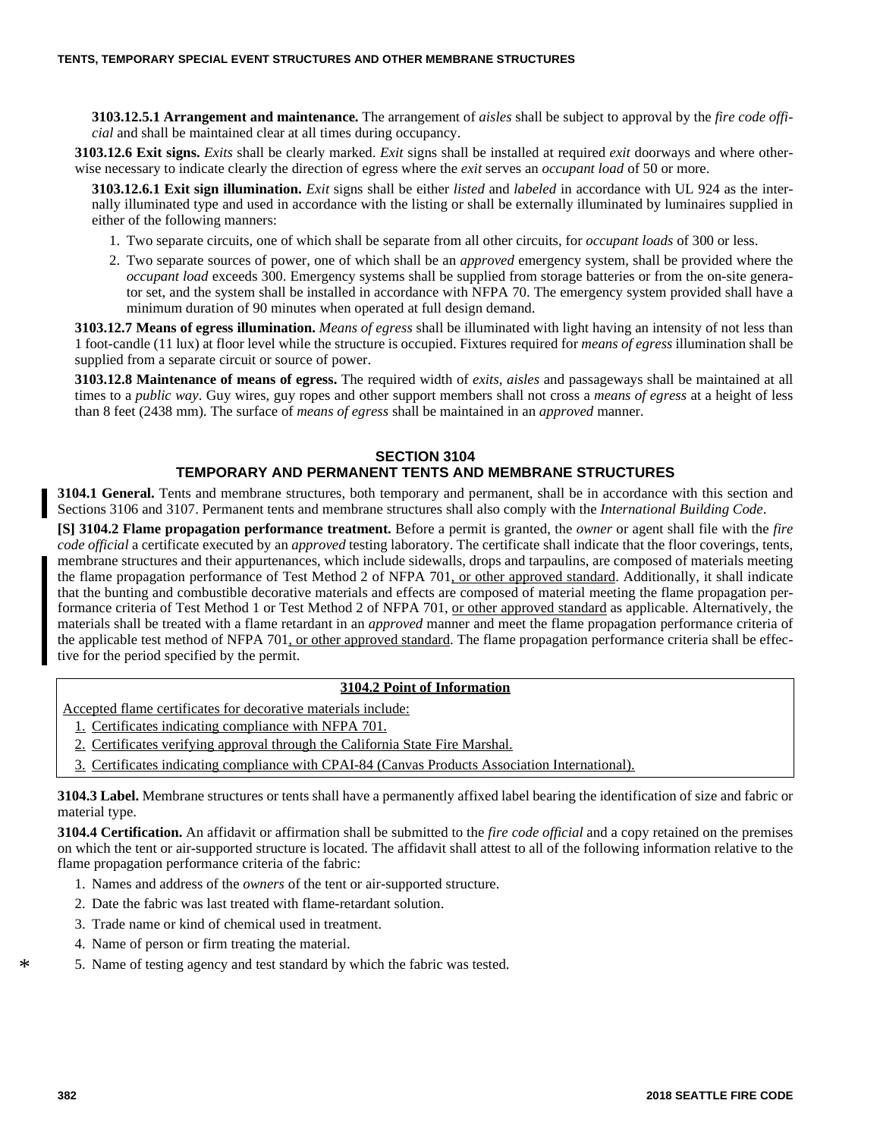**3103.12.5.1 Arrangement and maintenance.** The arrangement of *aisles* shall be subject to approval by the *fire code official* and shall be maintained clear at all times during occupancy.

**3103.12.6 Exit signs.** *Exits* shall be clearly marked. *Exit* signs shall be installed at required *exit* doorways and where otherwise necessary to indicate clearly the direction of egress where the *exit* serves an *occupant load* of 50 or more.

**3103.12.6.1 Exit sign illumination.** *Exit* signs shall be either *listed* and *labeled* in accordance with UL 924 as the internally illuminated type and used in accordance with the listing or shall be externally illuminated by luminaires supplied in either of the following manners:

- 1. Two separate circuits, one of which shall be separate from all other circuits, for *occupant loads* of 300 or less.
- 2. Two separate sources of power, one of which shall be an *approved* emergency system, shall be provided where the *occupant load* exceeds 300. Emergency systems shall be supplied from storage batteries or from the on-site generator set, and the system shall be installed in accordance with NFPA 70. The emergency system provided shall have a minimum duration of 90 minutes when operated at full design demand.

**3103.12.7 Means of egress illumination.** *Means of egress* shall be illuminated with light having an intensity of not less than 1 foot-candle (11 lux) at floor level while the structure is occupied. Fixtures required for *means of egress* illumination shall be supplied from a separate circuit or source of power.

**3103.12.8 Maintenance of means of egress.** The required width of *exits*, *aisles* and passageways shall be maintained at all times to a *public way*. Guy wires, guy ropes and other support members shall not cross a *means of egress* at a height of less than 8 feet (2438 mm). The surface of *means of egress* shall be maintained in an *approved* manner.

#### **SECTION 3104 TEMPORARY AND PERMANENT TENTS AND MEMBRANE STRUCTURES**

**3104.1 General.** Tents and membrane structures, both temporary and permanent, shall be in accordance with this section and Sections 3106 and 3107. Permanent tents and membrane structures shall also comply with the *International Building Code*.

**[S] 3104.2 Flame propagation performance treatment.** Before a permit is granted, the *owner* or agent shall file with the *fire code official* a certificate executed by an *approved* testing laboratory. The certificate shall indicate that the floor coverings, tents, membrane structures and their appurtenances, which include sidewalls, drops and tarpaulins, are composed of materials meeting the flame propagation performance of Test Method 2 of NFPA 701, or other approved standard. Additionally, it shall indicate that the bunting and combustible decorative materials and effects are composed of material meeting the flame propagation performance criteria of Test Method 1 or Test Method 2 of NFPA 701, or other approved standard as applicable. Alternatively, the materials shall be treated with a flame retardant in an *approved* manner and meet the flame propagation performance criteria of the applicable test method of NFPA 701, or other approved standard. The flame propagation performance criteria shall be effective for the period specified by the permit.

#### **3104.2 Point of Information**

- Accepted flame certificates for decorative materials include:
- 1. Certificates indicating compliance with NFPA 701.
- 2. Certificates verifying approval through the California State Fire Marshal.
- 3. Certificates indicating compliance with CPAI-84 (Canvas Products Association International).

**3104.3 Label.** Membrane structures or tents shall have a permanently affixed label bearing the identification of size and fabric or material type.

**3104.4 Certification.** An affidavit or affirmation shall be submitted to the *fire code official* and a copy retained on the premises on which the tent or air-supported structure is located. The affidavit shall attest to all of the following information relative to the flame propagation performance criteria of the fabric:

- 1. Names and address of the *owners* of the tent or air-supported structure.
- 2. Date the fabric was last treated with flame-retardant solution.
- 3. Trade name or kind of chemical used in treatment.
- 4. Name of person or firm treating the material.
- \* 5. Name of testing agency and test standard by which the fabric was tested.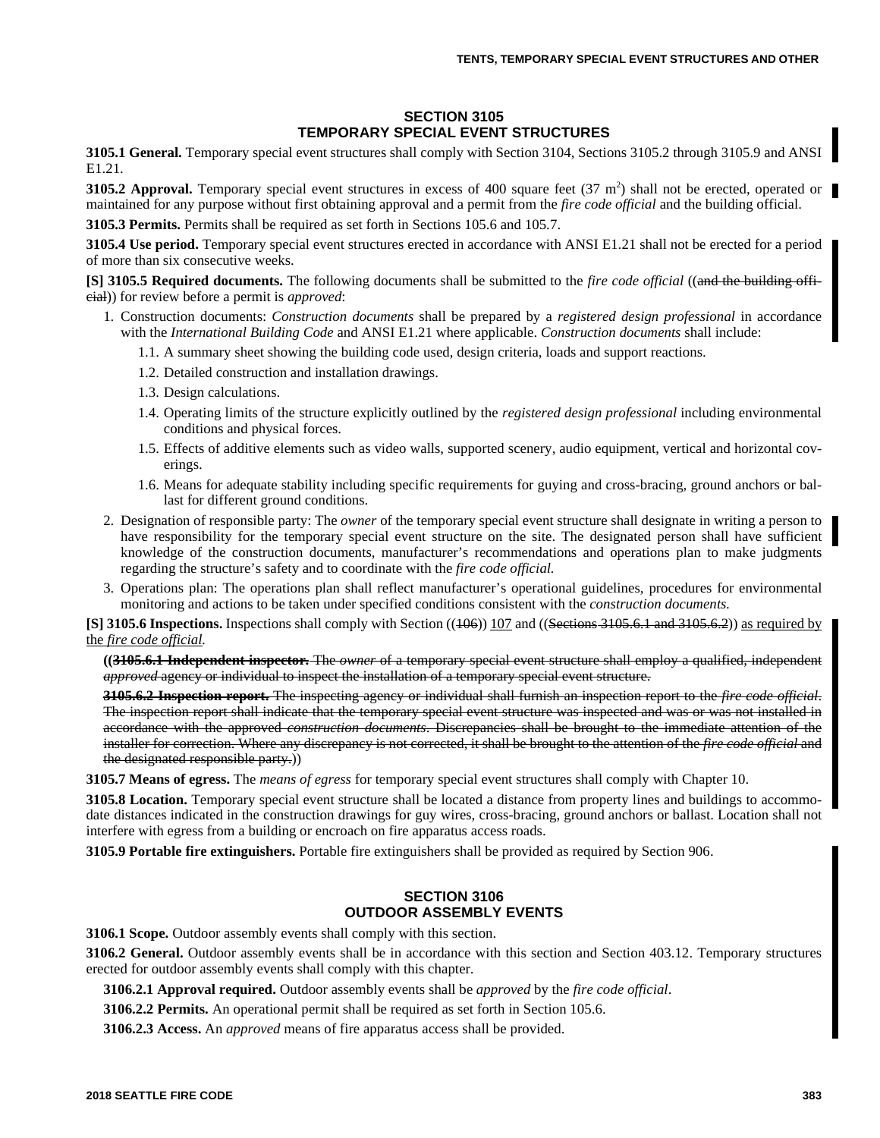#### **SECTION 3105 TEMPORARY SPECIAL EVENT STRUCTURES**

**3105.1 General.** Temporary special event structures shall comply with Section 3104, Sections 3105.2 through 3105.9 and ANSI E1.21.

**3105.2 Approval.** Temporary special event structures in excess of 400 square feet (37 m<sup>2</sup>) shall not be erected, operated or maintained for any purpose without first obtaining approval and a permit from the *fire code official* and the building official.

**3105.3 Permits.** Permits shall be required as set forth in Sections 105.6 and 105.7.

**3105.4 Use period.** Temporary special event structures erected in accordance with ANSI E1.21 shall not be erected for a period of more than six consecutive weeks.

**[S] 3105.5 Required documents.** The following documents shall be submitted to the *fire code official* ((and the building official)) for review before a permit is *approved*:

- 1. Construction documents: *Construction documents* shall be prepared by a *registered design professional* in accordance with the *International Building Code* and ANSI E1.21 where applicable. *Construction documents* shall include:
	- 1.1. A summary sheet showing the building code used, design criteria, loads and support reactions.
	- 1.2. Detailed construction and installation drawings.
	- 1.3. Design calculations.
	- 1.4. Operating limits of the structure explicitly outlined by the *registered design professional* including environmental conditions and physical forces.
	- 1.5. Effects of additive elements such as video walls, supported scenery, audio equipment, vertical and horizontal coverings.
	- 1.6. Means for adequate stability including specific requirements for guying and cross-bracing, ground anchors or ballast for different ground conditions.
- 2. Designation of responsible party: The *owner* of the temporary special event structure shall designate in writing a person to have responsibility for the temporary special event structure on the site. The designated person shall have sufficient knowledge of the construction documents, manufacturer's recommendations and operations plan to make judgments regarding the structure's safety and to coordinate with the *fire code official.*
- 3. Operations plan: The operations plan shall reflect manufacturer's operational guidelines, procedures for environmental monitoring and actions to be taken under specified conditions consistent with the *construction documents.*

**[S] 3105.6 Inspections.** Inspections shall comply with Section ((406)) 107 and ((Sections 3105.6.1 and 3105.6.2)) as required by the *fire code official.*

**((3105.6.1 Independent inspector.** The *owner* of a temporary special event structure shall employ a qualified, independent *approved* agency or individual to inspect the installation of a temporary special event structure.

**3105.6.2 Inspection report.** The inspecting agency or individual shall furnish an inspection report to the *fire code official*. The inspection report shall indicate that the temporary special event structure was inspected and was or was not installed in accordance with the approved *construction documents*. Discrepancies shall be brought to the immediate attention of the installer for correction. Where any discrepancy is not corrected, it shall be brought to the attention of the *fire code official* and the designated responsible party.))

**3105.7 Means of egress.** The *means of egress* for temporary special event structures shall comply with Chapter 10.

**3105.8 Location.** Temporary special event structure shall be located a distance from property lines and buildings to accommodate distances indicated in the construction drawings for guy wires, cross-bracing, ground anchors or ballast. Location shall not interfere with egress from a building or encroach on fire apparatus access roads.

**3105.9 Portable fire extinguishers.** Portable fire extinguishers shall be provided as required by Section 906.

### **SECTION 3106 OUTDOOR ASSEMBLY EVENTS**

**3106.1 Scope.** Outdoor assembly events shall comply with this section.

**3106.2 General.** Outdoor assembly events shall be in accordance with this section and Section 403.12. Temporary structures erected for outdoor assembly events shall comply with this chapter.

**3106.2.1 Approval required.** Outdoor assembly events shall be *approved* by the *fire code official*.

**3106.2.2 Permits.** An operational permit shall be required as set forth in Section 105.6.

**3106.2.3 Access.** An *approved* means of fire apparatus access shall be provided.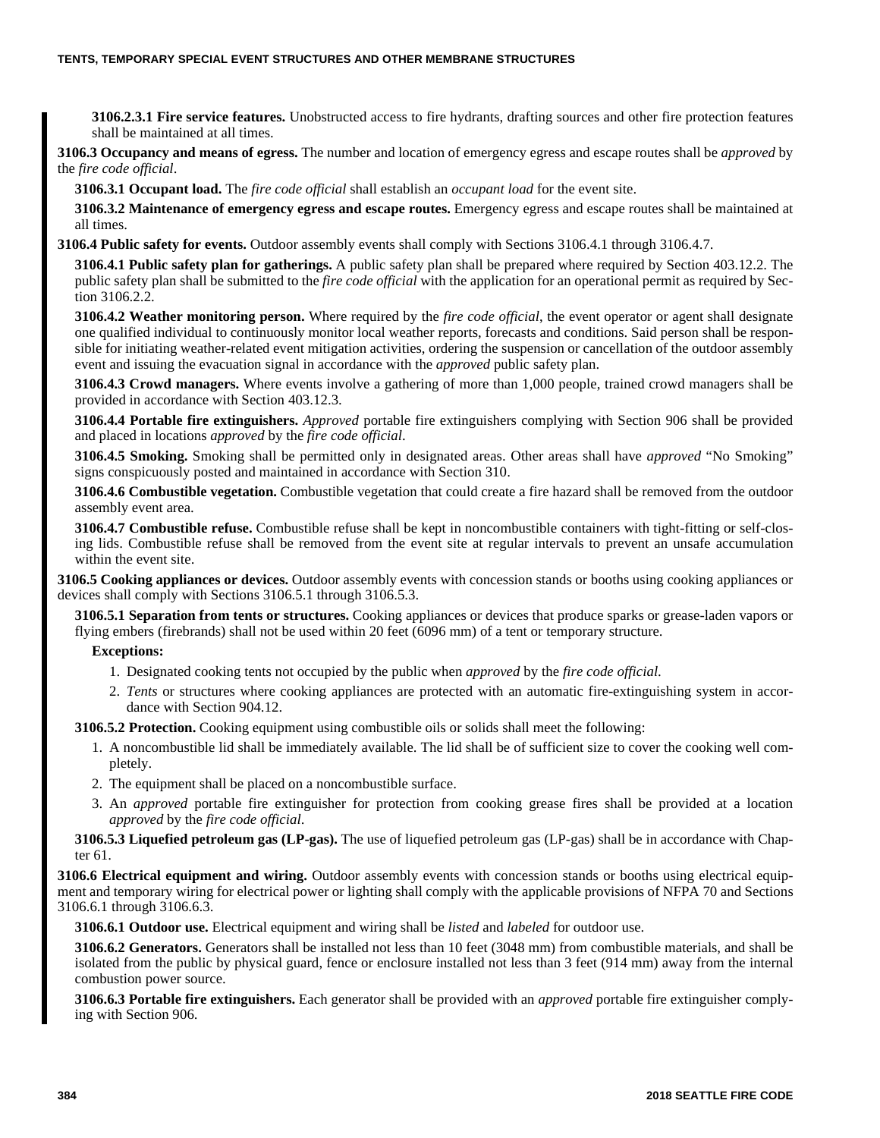**3106.2.3.1 Fire service features.** Unobstructed access to fire hydrants, drafting sources and other fire protection features shall be maintained at all times.

**3106.3 Occupancy and means of egress.** The number and location of emergency egress and escape routes shall be *approved* by the *fire code official*.

**3106.3.1 Occupant load.** The *fire code official* shall establish an *occupant load* for the event site.

**3106.3.2 Maintenance of emergency egress and escape routes.** Emergency egress and escape routes shall be maintained at all times.

**3106.4 Public safety for events.** Outdoor assembly events shall comply with Sections 3106.4.1 through 3106.4.7.

**3106.4.1 Public safety plan for gatherings.** A public safety plan shall be prepared where required by Section 403.12.2. The public safety plan shall be submitted to the *fire code official* with the application for an operational permit as required by Section 3106.2.2.

**3106.4.2 Weather monitoring person.** Where required by the *fire code official*, the event operator or agent shall designate one qualified individual to continuously monitor local weather reports, forecasts and conditions. Said person shall be responsible for initiating weather-related event mitigation activities, ordering the suspension or cancellation of the outdoor assembly event and issuing the evacuation signal in accordance with the *approved* public safety plan.

**3106.4.3 Crowd managers.** Where events involve a gathering of more than 1,000 people, trained crowd managers shall be provided in accordance with Section 403.12.3.

**3106.4.4 Portable fire extinguishers.** *Approved* portable fire extinguishers complying with Section 906 shall be provided and placed in locations *approved* by the *fire code official*.

**3106.4.5 Smoking.** Smoking shall be permitted only in designated areas. Other areas shall have *approved* "No Smoking" signs conspicuously posted and maintained in accordance with Section 310.

**3106.4.6 Combustible vegetation.** Combustible vegetation that could create a fire hazard shall be removed from the outdoor assembly event area.

**3106.4.7 Combustible refuse.** Combustible refuse shall be kept in noncombustible containers with tight-fitting or self-closing lids. Combustible refuse shall be removed from the event site at regular intervals to prevent an unsafe accumulation within the event site.

**3106.5 Cooking appliances or devices.** Outdoor assembly events with concession stands or booths using cooking appliances or devices shall comply with Sections 3106.5.1 through 3106.5.3.

**3106.5.1 Separation from tents or structures.** Cooking appliances or devices that produce sparks or grease-laden vapors or flying embers (firebrands) shall not be used within 20 feet (6096 mm) of a tent or temporary structure.

#### **Exceptions:**

- 1. Designated cooking tents not occupied by the public when *approved* by the *fire code official*.
- 2. *Tents* or structures where cooking appliances are protected with an automatic fire-extinguishing system in accordance with Section 904.12.

**3106.5.2 Protection.** Cooking equipment using combustible oils or solids shall meet the following:

- 1. A noncombustible lid shall be immediately available. The lid shall be of sufficient size to cover the cooking well completely.
- 2. The equipment shall be placed on a noncombustible surface.
- 3. An *approved* portable fire extinguisher for protection from cooking grease fires shall be provided at a location *approved* by the *fire code official*.

**3106.5.3 Liquefied petroleum gas (LP-gas).** The use of liquefied petroleum gas (LP-gas) shall be in accordance with Chapter 61.

**3106.6 Electrical equipment and wiring.** Outdoor assembly events with concession stands or booths using electrical equipment and temporary wiring for electrical power or lighting shall comply with the applicable provisions of NFPA 70 and Sections 3106.6.1 through 3106.6.3.

**3106.6.1 Outdoor use.** Electrical equipment and wiring shall be *listed* and *labeled* for outdoor use.

**3106.6.2 Generators.** Generators shall be installed not less than 10 feet (3048 mm) from combustible materials, and shall be isolated from the public by physical guard, fence or enclosure installed not less than 3 feet (914 mm) away from the internal combustion power source.

**3106.6.3 Portable fire extinguishers.** Each generator shall be provided with an *approved* portable fire extinguisher complying with Section 906.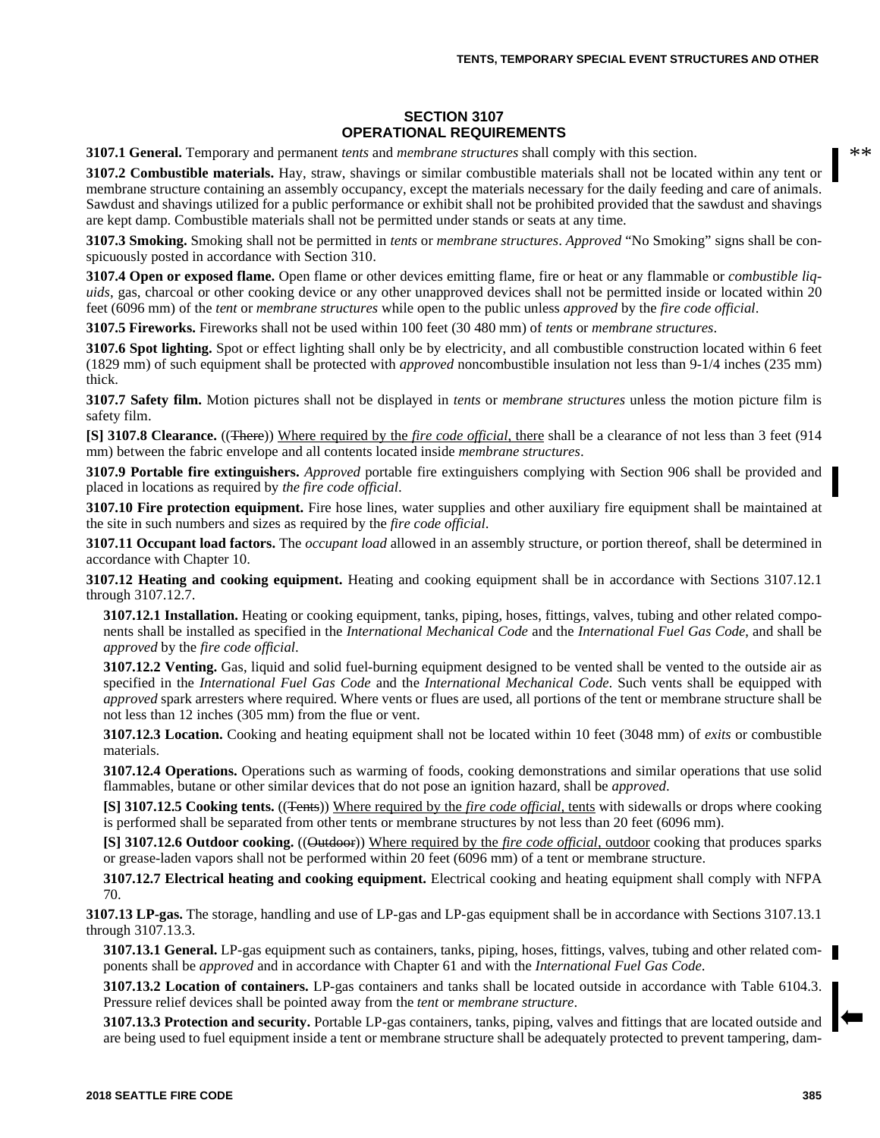#### **SECTION 3107 OPERATIONAL REQUIREMENTS**

**3107.1 General.** Temporary and permanent *tents* and *membrane structures* shall comply with this section.

**3107.2 Combustible materials.** Hay, straw, shavings or similar combustible materials shall not be located within any tent or membrane structure containing an assembly occupancy, except the materials necessary for the daily feeding and care of animals. Sawdust and shavings utilized for a public performance or exhibit shall not be prohibited provided that the sawdust and shavings are kept damp. Combustible materials shall not be permitted under stands or seats at any time.

**3107.3 Smoking.** Smoking shall not be permitted in *tents* or *membrane structures*. *Approved* "No Smoking" signs shall be conspicuously posted in accordance with Section 310.

**3107.4 Open or exposed flame.** Open flame or other devices emitting flame, fire or heat or any flammable or *combustible liquids*, gas, charcoal or other cooking device or any other unapproved devices shall not be permitted inside or located within 20 feet (6096 mm) of the *tent* or *membrane structures* while open to the public unless *approved* by the *fire code official*.

**3107.5 Fireworks.** Fireworks shall not be used within 100 feet (30 480 mm) of *tents* or *membrane structures*.

**3107.6 Spot lighting.** Spot or effect lighting shall only be by electricity, and all combustible construction located within 6 feet (1829 mm) of such equipment shall be protected with *approved* noncombustible insulation not less than 9-1/4 inches (235 mm) thick.

**3107.7 Safety film.** Motion pictures shall not be displayed in *tents* or *membrane structures* unless the motion picture film is safety film.

**[S] 3107.8 Clearance.** ((There)) Where required by the *fire code official*, there shall be a clearance of not less than 3 feet (914 mm) between the fabric envelope and all contents located inside *membrane structures*.

**3107.9 Portable fire extinguishers.** *Approved* portable fire extinguishers complying with Section 906 shall be provided and placed in locations as required by *the fire code official*.

**3107.10 Fire protection equipment.** Fire hose lines, water supplies and other auxiliary fire equipment shall be maintained at the site in such numbers and sizes as required by the *fire code official*.

**3107.11 Occupant load factors.** The *occupant load* allowed in an assembly structure, or portion thereof, shall be determined in accordance with Chapter 10.

**3107.12 Heating and cooking equipment.** Heating and cooking equipment shall be in accordance with Sections 3107.12.1 through 3107.12.7.

**3107.12.1 Installation.** Heating or cooking equipment, tanks, piping, hoses, fittings, valves, tubing and other related components shall be installed as specified in the *International Mechanical Code* and the *International Fuel Gas Code*, and shall be *approved* by the *fire code official*.

**3107.12.2 Venting.** Gas, liquid and solid fuel-burning equipment designed to be vented shall be vented to the outside air as specified in the *International Fuel Gas Code* and the *International Mechanical Code*. Such vents shall be equipped with *approved* spark arresters where required. Where vents or flues are used, all portions of the tent or membrane structure shall be not less than 12 inches (305 mm) from the flue or vent.

**3107.12.3 Location.** Cooking and heating equipment shall not be located within 10 feet (3048 mm) of *exits* or combustible materials.

**3107.12.4 Operations.** Operations such as warming of foods, cooking demonstrations and similar operations that use solid flammables, butane or other similar devices that do not pose an ignition hazard, shall be *approved*.

**[S] 3107.12.5 Cooking tents.** ((Tents)) Where required by the *fire code official,* tents with sidewalls or drops where cooking is performed shall be separated from other tents or membrane structures by not less than 20 feet (6096 mm).

**[S] 3107.12.6 Outdoor cooking.** ((Outdoor)) Where required by the *fire code official*, outdoor cooking that produces sparks or grease-laden vapors shall not be performed within 20 feet (6096 mm) of a tent or membrane structure.

**3107.12.7 Electrical heating and cooking equipment.** Electrical cooking and heating equipment shall comply with NFPA 70.

**3107.13 LP-gas.** The storage, handling and use of LP-gas and LP-gas equipment shall be in accordance with Sections 3107.13.1 through 3107.13.3.

**3107.13.1 General.** LP-gas equipment such as containers, tanks, piping, hoses, fittings, valves, tubing and other related components shall be *approved* and in accordance with Chapter 61 and with the *International Fuel Gas Code*.

**3107.13.2 Location of containers.** LP-gas containers and tanks shall be located outside in accordance with Table 6104.3. Pressure relief devices shall be pointed away from the *tent* or *membrane structure*.

**3107.13.3 Protection and security.** Portable LP-gas containers, tanks, piping, valves and fittings that are located outside and are being used to fuel equipment inside a tent or membrane structure shall be adequately protected to prevent tampering, dam